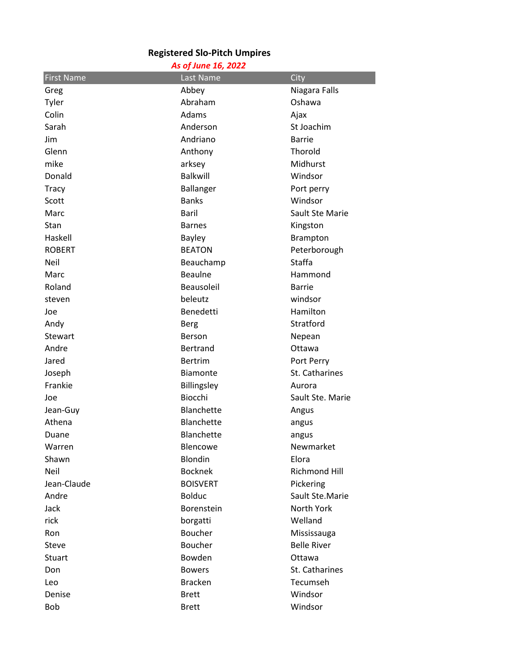## **Registered Slo-Pitch Umpires**

|  |  | As of June 16, 2022 |
|--|--|---------------------|
|  |  |                     |

| <b>First Name</b> | Last Name         | City               |
|-------------------|-------------------|--------------------|
| Greg              | Abbey             | Niagara Falls      |
| Tyler             | Abraham           | Oshawa             |
| Colin             | Adams             | Ajax               |
| Sarah             | Anderson          | St Joachim         |
| Jim               | Andriano          | <b>Barrie</b>      |
| Glenn             | Anthony           | Thorold            |
| mike              | arksey            | Midhurst           |
| Donald            | <b>Balkwill</b>   | Windsor            |
| Tracy             | <b>Ballanger</b>  | Port perry         |
| Scott             | <b>Banks</b>      | Windsor            |
| Marc              | Baril             | Sault Ste Marie    |
| Stan              | <b>Barnes</b>     | Kingston           |
| Haskell           | <b>Bayley</b>     | <b>Brampton</b>    |
| <b>ROBERT</b>     | <b>BEATON</b>     | Peterborough       |
| Neil              | Beauchamp         | Staffa             |
| Marc              | <b>Beaulne</b>    | Hammond            |
| Roland            | Beausoleil        | <b>Barrie</b>      |
| steven            | beleutz           | windsor            |
| Joe               | Benedetti         | Hamilton           |
| Andy              | <b>Berg</b>       | Stratford          |
| Stewart           | Berson            | Nepean             |
| Andre             | <b>Bertrand</b>   | Ottawa             |
| Jared             | <b>Bertrim</b>    | Port Perry         |
| Joseph            | <b>Biamonte</b>   | St. Catharines     |
| Frankie           | Billingsley       | Aurora             |
| Joe               | Biocchi           | Sault Ste. Marie   |
| Jean-Guy          | <b>Blanchette</b> | Angus              |
| Athena            | <b>Blanchette</b> | angus              |
| Duane             | <b>Blanchette</b> | angus              |
| Warren            | Blencowe          | Newmarket          |
| Shawn             | Blondin           | Elora              |
| <b>Neil</b>       | <b>Bocknek</b>    | Richmond Hill      |
| Jean-Claude       | <b>BOISVERT</b>   | Pickering          |
| Andre             | <b>Bolduc</b>     | Sault Ste.Marie    |
| Jack              | Borenstein        | North York         |
| rick              | borgatti          | Welland            |
| Ron               | Boucher           | Mississauga        |
| <b>Steve</b>      | Boucher           | <b>Belle River</b> |
| <b>Stuart</b>     | Bowden            | Ottawa             |
| Don               | <b>Bowers</b>     | St. Catharines     |
| Leo               | <b>Bracken</b>    | Tecumseh           |
| Denise            | <b>Brett</b>      | Windsor            |
| Bob               | <b>Brett</b>      | Windsor            |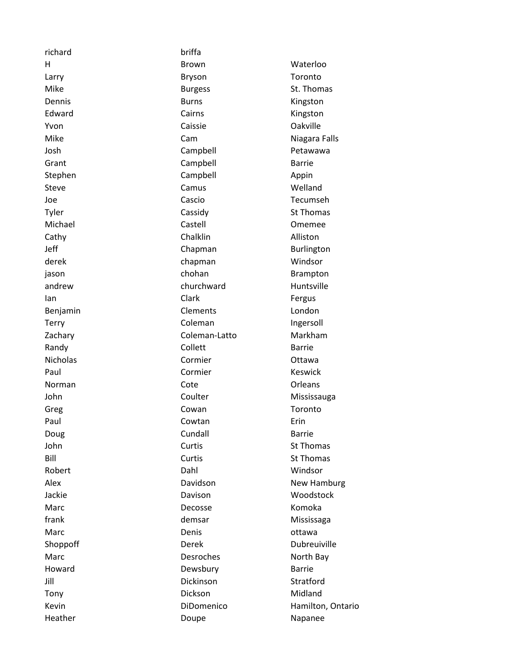| richard         | briffa         |                   |
|-----------------|----------------|-------------------|
| н               | <b>Brown</b>   | Waterloo          |
| Larry           | <b>Bryson</b>  | Toronto           |
| Mike            | <b>Burgess</b> | St. Thomas        |
| Dennis          | <b>Burns</b>   | Kingston          |
| Edward          | Cairns         | Kingston          |
| Yvon            | Caissie        | Oakville          |
| Mike            | Cam            | Niagara Falls     |
| Josh            | Campbell       | Petawawa          |
| Grant           | Campbell       | <b>Barrie</b>     |
| Stephen         | Campbell       | Appin             |
| Steve           | Camus          | Welland           |
| Joe             | Cascio         | Tecumseh          |
| Tyler           | Cassidy        | <b>St Thomas</b>  |
| Michael         | Castell        | Omemee            |
| Cathy           | Chalklin       | Alliston          |
| Jeff            | Chapman        | Burlington        |
| derek           | chapman        | Windsor           |
| jason           | chohan         | <b>Brampton</b>   |
| andrew          | churchward     | Huntsville        |
| lan             | Clark          | Fergus            |
| Benjamin        | Clements       | London            |
| Terry           | Coleman        | Ingersoll         |
| Zachary         | Coleman-Latto  | Markham           |
| Randy           | Collett        | <b>Barrie</b>     |
| <b>Nicholas</b> | Cormier        | Ottawa            |
| Paul            | Cormier        | Keswick           |
| Norman          | Cote           | Orleans           |
| John            | Coulter        | Mississauga       |
| Greg            | Cowan          | Toronto           |
| Paul            | Cowtan         | Erin              |
| Doug            | Cundall        | <b>Barrie</b>     |
| John            | Curtis         | St Thomas         |
| Bill            | Curtis         | St Thomas         |
| Robert          | Dahl           | Windsor           |
| Alex            | Davidson       | New Hamburg       |
| Jackie          | Davison        | Woodstock         |
| Marc            | Decosse        | Komoka            |
| frank           | demsar         | Mississaga        |
| Marc            | Denis          | ottawa            |
| Shoppoff        | Derek          | Dubreuiville      |
| Marc            | Desroches      | North Bay         |
| Howard          | Dewsbury       | <b>Barrie</b>     |
| Jill            | Dickinson      | Stratford         |
| Tony            | Dickson        | Midland           |
| Kevin           | DiDomenico     | Hamilton, Ontario |
| Heather         | Doupe          | Napanee           |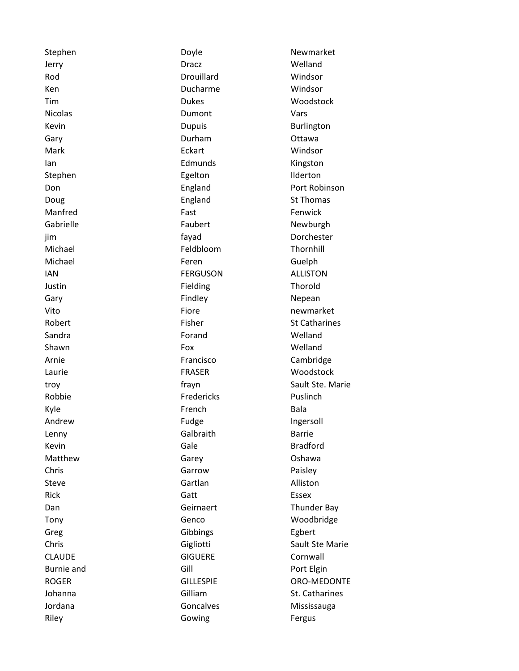| Stephen           | Doyle            | Newmarket            |
|-------------------|------------------|----------------------|
| Jerry             | <b>Dracz</b>     | Welland              |
| Rod               | Drouillard       | Windsor              |
| Ken               | Ducharme         | Windsor              |
| Tim               | <b>Dukes</b>     | Woodstock            |
| <b>Nicolas</b>    | Dumont           | Vars                 |
| Kevin             | <b>Dupuis</b>    | Burlington           |
| Gary              | Durham           | Ottawa               |
| Mark              | Eckart           | Windsor              |
| lan               | Edmunds          | Kingston             |
| Stephen           | Egelton          | Ilderton             |
| Don               | England          | Port Robinson        |
| Doug              | England          | <b>St Thomas</b>     |
| Manfred           | Fast             | Fenwick              |
| Gabrielle         | Faubert          | Newburgh             |
| jim               | fayad            | Dorchester           |
| Michael           | Feldbloom        | Thornhill            |
| Michael           | Feren            | Guelph               |
| <b>IAN</b>        | <b>FERGUSON</b>  | <b>ALLISTON</b>      |
| Justin            | Fielding         | Thorold              |
| Gary              | Findley          | Nepean               |
| Vito              | Fiore            | newmarket            |
| Robert            | Fisher           | <b>St Catharines</b> |
| Sandra            | Forand           | Welland              |
| Shawn             | Fox              | Welland              |
| Arnie             | Francisco        | Cambridge            |
| Laurie            | <b>FRASER</b>    | Woodstock            |
| troy              | frayn            | Sault Ste. Marie     |
| Robbie            | Fredericks       | Puslinch             |
| Kyle              | French           | <b>Bala</b>          |
| Andrew            | Fudge            | Ingersoll            |
| Lenny             | Galbraith        | <b>Barrie</b>        |
| Kevin             | Gale             | <b>Bradford</b>      |
| Matthew           | Garey            | Oshawa               |
| Chris             | Garrow           | Paisley              |
| Steve             | Gartlan          | Alliston             |
| <b>Rick</b>       | Gatt             | <b>Essex</b>         |
| Dan               | Geirnaert        | <b>Thunder Bay</b>   |
| Tony              | Genco            | Woodbridge           |
| Greg              | Gibbings         | Egbert               |
| Chris             | Gigliotti        | Sault Ste Marie      |
| <b>CLAUDE</b>     | <b>GIGUERE</b>   | Cornwall             |
| <b>Burnie and</b> | Gill             | Port Elgin           |
| <b>ROGER</b>      | <b>GILLESPIE</b> | ORO-MEDONTE          |
| Johanna           | Gilliam          | St. Catharines       |
| Jordana           | Goncalves        | Mississauga          |
| Riley             | Gowing           | Fergus               |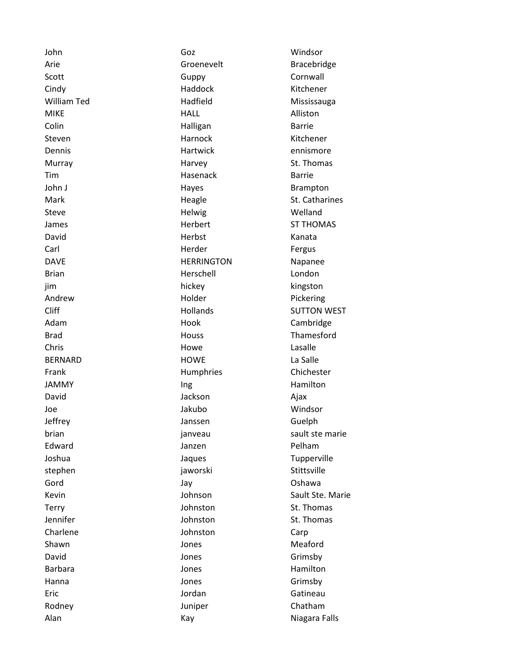John Goz Windsor Arie **Groenevelt** Bracebridge Scott Guppy Cornwall Cindy Haddock Kitchener William Ted **Mississauga** Hadfield Mississauga MIKE RESOURCE HALL HALL Alliston Colin **Halligan** Halligan Barrie Steven **Exercise Contract Contract Contract Contract Contract Contract Contract Contract Contract Contract Contr** Dennis **Example 2018** Hartwick **Example 2018** Hartwick **Example 2018** 2019 12:30 Murray Murray Harvey St. Thomas Tim Barrie **Hasenack** Barrie John J **Hayes** Haves Brampton Mark Mark Heagle St. Catharines Steve and the Helwig Melland Melland James **Herbert** ST THOMAS David **Herbst** Kanata Carl **Carl Herder Herder Fergus** DAVE **Napanee** HERRINGTON Napanee Brian **Herschell** London jim hickey kingston Andrew **Holder** Pickering Cliff **Hollands** SUTTON WEST Adam **Hook** Hook Cambridge Brad **Houss** Houss **Thamesford** Chris **Chris Chris Chris Chris Chris Chris Chris Chris Chris Chris Chris Chris Chris Chris Chris Chris Chris Chris Chris Chris Chris Chris Chris Chris Chris Chris Chris** BERNARD HOWE La Salle Frank **Humphries** Chichester JAMMY Ing Ing Hamilton David Ajax (David Agameter Andrew Jackson) and Ajax Joe Jakubo Windsor Jeffrey Janssen Guelph brian in the sault steed of the sault steed of the sault steed of the sault steed of the sault steed of the sault steed of the sault steed of the sault steed of the sault steed of the sault steed of the sault steed of the Edward **Galacter Edward** Janzen **Carl Pelham** Joshua **Jaques** Jaques Tupperville stephen jaworski Stittsville Gord Jay Oshawa Kevin **Sault Ste. Marie Sault Ste. Marie** Sault Ste. Marie Terry **Terry St. Thomas** Johnston St. Thomas Jennifer **Johnston** St. Thomas Charlene **Charlene** Johnston Carp Shawn **Galaxy Company** Shawn Jones **Meaford** David **David Contract Contract Contract Contract Contract Contract Contract Contract Contract Contract Contract Contract Contract Contract Contract Contract Contract Contract Contract Contract Contract Contract Contract** Barbara **Manufathera Hamilton** Jones **Hamilton** Hanna **Grimsby Hanna** Jones **Grimsby** Eric **Gatineau Contract Contract Contract Contract Contract Contract Contract Contract Contract Contract Contract Contract Contract Contract Contract Contract Contract Contract Contract Contract Contract Contract Contrac** Rodney **Chatham** Juniper Chatham Alan Niagara Falls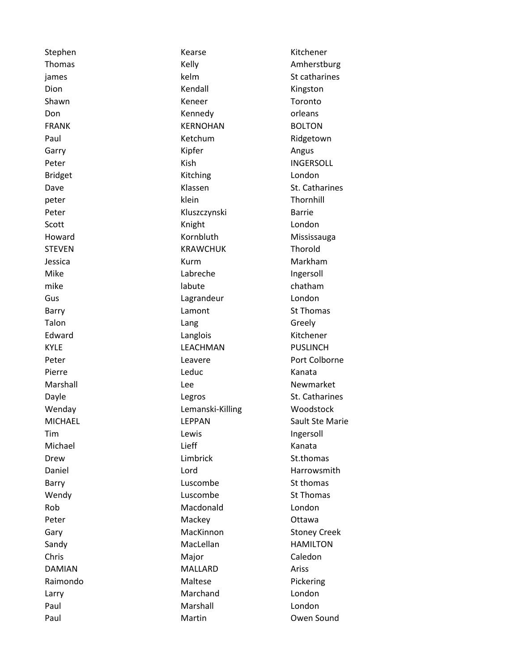| Stephen        | Kearse           | Kitchener           |
|----------------|------------------|---------------------|
| Thomas         | Kelly            | Amherstburg         |
| james          | kelm             | St catharines       |
| Dion           | Kendall          | Kingston            |
| Shawn          | Keneer           | Toronto             |
| Don            | Kennedy          | orleans             |
| <b>FRANK</b>   | <b>KERNOHAN</b>  | <b>BOLTON</b>       |
| Paul           | Ketchum          | Ridgetown           |
| Garry          | Kipfer           | Angus               |
| Peter          | Kish             | <b>INGERSOLL</b>    |
| <b>Bridget</b> | Kitching         | London              |
| Dave           | Klassen          | St. Catharines      |
| peter          | klein            | Thornhill           |
| Peter          | Kluszczynski     | <b>Barrie</b>       |
| Scott          | Knight           | London              |
| Howard         | Kornbluth        | Mississauga         |
| <b>STEVEN</b>  | <b>KRAWCHUK</b>  | Thorold             |
| Jessica        | Kurm             | Markham             |
| Mike           | Labreche         | Ingersoll           |
| mike           | labute           | chatham             |
| Gus            | Lagrandeur       | London              |
| Barry          | Lamont           | <b>St Thomas</b>    |
| Talon          | Lang             | Greely              |
| Edward         | Langlois         | Kitchener           |
| <b>KYLE</b>    | LEACHMAN         | <b>PUSLINCH</b>     |
| Peter          | Leavere          | Port Colborne       |
| Pierre         | Leduc            | Kanata              |
| Marshall       | Lee              | Newmarket           |
| Dayle          | Legros           | St. Catharines      |
| Wenday         | Lemanski-Killing | Woodstock           |
| <b>MICHAEL</b> | <b>LEPPAN</b>    | Sault Ste Marie     |
| Tim            | Lewis            | Ingersoll           |
| Michael        | Lieff            | Kanata              |
| Drew           | Limbrick         | St.thomas           |
| Daniel         | Lord             | Harrowsmith         |
| Barry          | Luscombe         | St thomas           |
| Wendy          | Luscombe         | <b>St Thomas</b>    |
| Rob            | Macdonald        | London              |
| Peter          | Mackey           | Ottawa              |
| Gary           | MacKinnon        | <b>Stoney Creek</b> |
| Sandy          | MacLellan        | <b>HAMILTON</b>     |
| Chris          | Major            | Caledon             |
| <b>DAMIAN</b>  | <b>MALLARD</b>   | Ariss               |
| Raimondo       | Maltese          | Pickering           |
| Larry          | Marchand         | London              |
| Paul           | Marshall         | London              |
| Paul           | Martin           | Owen Sound          |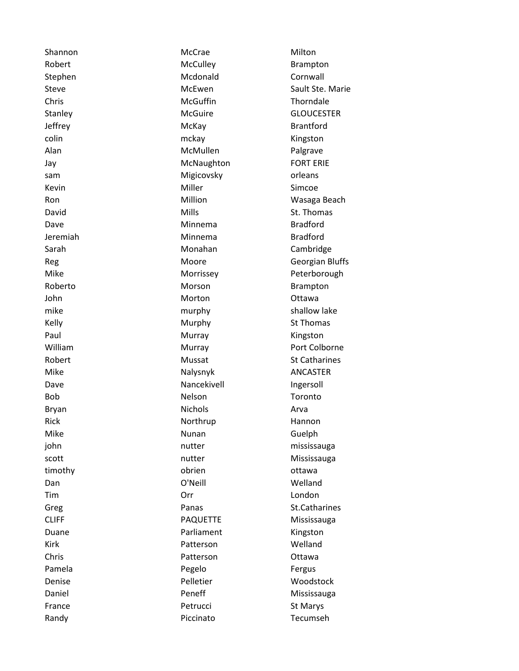Shannon **McCrae** Milton Robert McCulley McCulley Brampton Stephen Mcdonald Cornwall Steve Steve McEwen Sault Ste. Marie Chris **Chris** Chris Christen McGuffin **Christian Christen Christian International Christian International Christian International Christian International Christian International Christian International Christian Internatio** Stanley McGuire McGuire GLOUCESTER Jeffrey **McKay** McKay Brantford colin and the matrix of the matrix of the matrix of the matrix of the matrix  $\mathsf{mclm}$ Alan McMullen Palgrave Jay **McNaughton** FORT ERIE sam **Migicovsky orleans** Kevin **Miller** Miller Simcoe Ron **Million** Million **Wasaga Beach** David **David Mills** Mills St. Thomas Dave **Minnema** Bradford Jeremiah Minnema Bradford Sarah Monahan Monahan Cambridge Reg **Reg 2018** Moore **CONTERNATES** Georgian Bluffs Mike Morrissey Peterborough Roberto Morson Morson Brampton John **Morton** Morton **Ottawa** mike murphy murphy shallow lake Kelly **Murphy** St Thomas Paul **Murray Murray** Ringston William Murray Murray Port Colborne Robert Mussat St Catharines Mike Nalysnyk ANCASTER Dave **Nancekivell** Ingersoll Bob **Nelson** Nelson Toronto Bryan **Nichols** Arva Rick Northrup Hannon Mike **Nunan** Nunan Guelph john nutter mississauga scott **nutter** mutter **Mississauga** timothy **obrien** obrien ottawa Dan **O'Neill** C'Neill Welland Tim Orr London Greg **Contract Contract Panas** Contract Contract Contract Contract Contract Contract Contract Contract Contract Contract Contract Contract Contract Contract Contract Contract Contract Contract Contract Contract Contract Co CLIFF PAQUETTE Mississauga Duane **Duane** Parliament Kingston Kirk Patterson Welland Chris Patterson Ottawa Pamela **Company Pegelo** Pegelo **Fergus** Denise Pelletier Woodstock Daniel **Daniel** Peneff Mississauga France **Petrucci** Petrucci St Marys Randy **Piccinato** Piccinato **Tecumseh**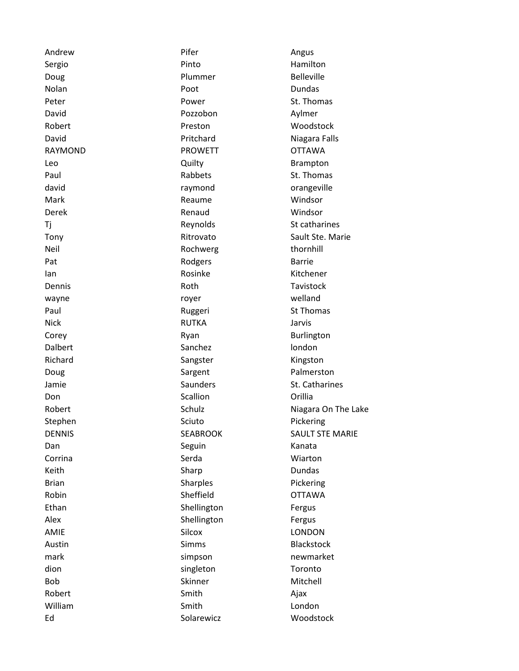| Andrew        | Pifer           | Angus                  |
|---------------|-----------------|------------------------|
| Sergio        | Pinto           | Hamilton               |
| Doug          | Plummer         | <b>Belleville</b>      |
| Nolan         | Poot            | Dundas                 |
| Peter         | Power           | St. Thomas             |
| David         | Pozzobon        | Aylmer                 |
| Robert        | Preston         | Woodstock              |
| David         | Pritchard       | Niagara Falls          |
| RAYMOND       | <b>PROWETT</b>  | <b>OTTAWA</b>          |
| Leo           | Quilty          | <b>Brampton</b>        |
| Paul          | Rabbets         | St. Thomas             |
| david         | raymond         | orangeville            |
| Mark          | Reaume          | Windsor                |
| Derek         | Renaud          | Windsor                |
| Τj            | Reynolds        | St catharines          |
| Tony          | Ritrovato       | Sault Ste. Marie       |
| Neil          | Rochwerg        | thornhill              |
| Pat           | Rodgers         | <b>Barrie</b>          |
| lan           | Rosinke         | Kitchener              |
| Dennis        | Roth            | Tavistock              |
| wayne         | royer           | welland                |
| Paul          | Ruggeri         | <b>St Thomas</b>       |
| <b>Nick</b>   | <b>RUTKA</b>    | Jarvis                 |
| Corey         | Ryan            | Burlington             |
| Dalbert       | Sanchez         | london                 |
| Richard       | Sangster        | Kingston               |
| Doug          | Sargent         | Palmerston             |
| Jamie         | Saunders        | St. Catharines         |
| Don           | Scallion        | Orillia                |
| Robert        | Schulz          | Niagara On The Lake    |
| Stephen       | Sciuto          | Pickering              |
| <b>DENNIS</b> | <b>SEABROOK</b> | <b>SAULT STE MARIE</b> |
| Dan           | Seguin          | Kanata                 |
| Corrina       | Serda           | Wiarton                |
| Keith         | Sharp           | Dundas                 |
| <b>Brian</b>  | <b>Sharples</b> | Pickering              |
| Robin         | Sheffield       | <b>OTTAWA</b>          |
| Ethan         | Shellington     | Fergus                 |
| Alex          | Shellington     | Fergus                 |
| AMIE          | Silcox          | <b>LONDON</b>          |
| Austin        | <b>Simms</b>    | <b>Blackstock</b>      |
| mark          | simpson         | newmarket              |
| dion          | singleton       | Toronto                |
| Bob           | Skinner         | Mitchell               |
| Robert        | Smith           | Ajax                   |
| William       | Smith           | London                 |
| Ed            | Solarewicz      | Woodstock              |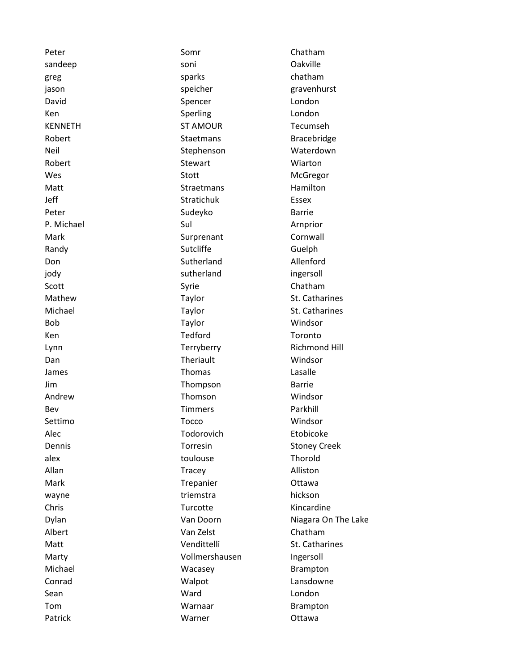Peter **Somr** Somr Chatham sandeep soni soni Qakville greg sparks chatham jason speicher gravenhurst David **Spencer** Spencer **London** Ken Sperling London KENNETH ST AMOUR Tecumseh Robert **Staetmans** Staetmans Bracebridge Neil Neil Stephenson Waterdown Robert **National Stewart** Stewart Miarton Wes Stott Stott McGregor Matt **Straetmans** Straetmans Hamilton Jeff Stratichuk Essex Peter Barrie Sudeyko Barrie P. Michael Sul Sul Arnprior Mark **Mark Surprenant** Cornwall Randy **Sutcliffe** Sutcliffe **Guelph** Don Sutherland Allenford jody **intervalled** sutherland **ingersoll** Scott **Syrie** Syrie Chatham Mathew Taylor Taylor St. Catharines Michael Taylor Taylor St. Catharines Bob Taylor Windsor Ken Tedford Tedford Toronto Lynn **Example 2018** Contract Terryberry Terry Richmond Hill Dan **Theriault** Windsor James **Thomas** Casalle Jim Thompson Barrie Andrew Thomson Windsor Bev **Timmers** Parkhill Settimo **Tocco** Tocco Windsor Alec Todorovich Etobicoke Dennis **Dennis Communist Communist Communist Communist Communist Communist Communist Communist Communist Communist Communist Communist Communist Communist Communist Communist Communist Communist Communist Communist Communi** alex **and a struck of the controller of the controller of the controller of the controller of the controller of the controller of the controller of the controller of the controller of the controller of the controller of th** Allan Tracey Alliston Mark **Mark Trepanier** Christ Mark Mark Christ Mark Trepanier Christ Ottawa wayne triemstra hickson Chris Chris Turcotte Kincardine Dylan Niagara On The Lake Controller Van Doorn Niagara On The Lake Albert Van Zelst Chatham Matt **Matt** St. Catharines **Matt** Vendittelli St. Catharines Marty **Marty Vollmershausen** Ingersoll Michael **Michael** Wacasey **Brampton** Conrad Conrad Walpot Conrad Lansdowne Sean Ward London Tom **Warnaar** Brampton Patrick **National Matrick** Warner **Container** Ottawa